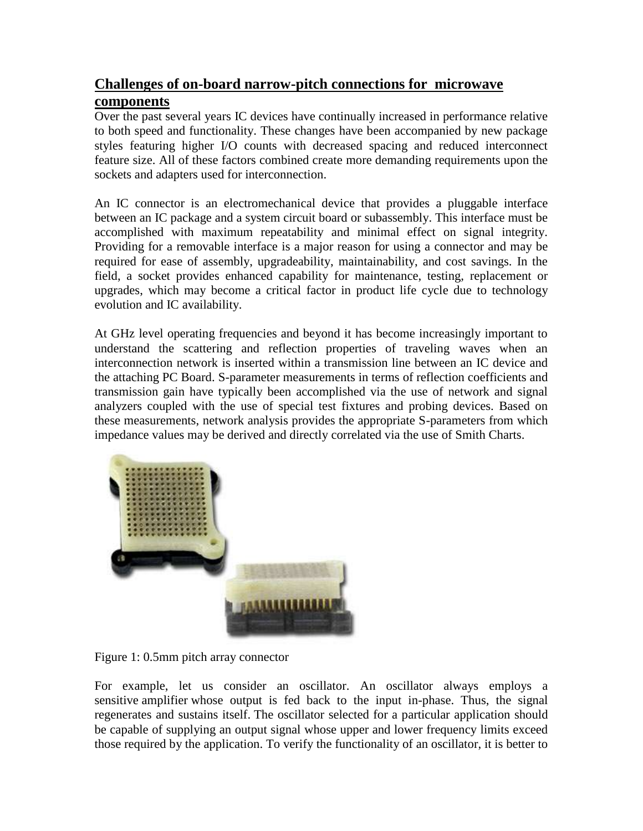## **Challenges of on-board narrow-pitch connections for microwave components**

Over the past several years IC devices have continually increased in performance relative to both speed and functionality. These changes have been accompanied by new package styles featuring higher I/O counts with decreased spacing and reduced interconnect feature size. All of these factors combined create more demanding requirements upon the sockets and adapters used for interconnection.

An IC connector is an electromechanical device that provides a pluggable interface between an IC package and a system circuit board or subassembly. This interface must be accomplished with maximum repeatability and minimal effect on signal integrity. Providing for a removable interface is a major reason for using a connector and may be required for ease of assembly, upgradeability, maintainability, and cost savings. In the field, a socket provides enhanced capability for maintenance, testing, replacement or upgrades, which may become a critical factor in product life cycle due to technology evolution and IC availability.

At GHz level operating frequencies and beyond it has become increasingly important to understand the scattering and reflection properties of traveling waves when an interconnection network is inserted within a transmission line between an IC device and the attaching PC Board. S-parameter measurements in terms of reflection coefficients and transmission gain have typically been accomplished via the use of network and signal analyzers coupled with the use of special test fixtures and probing devices. Based on these measurements, network analysis provides the appropriate S-parameters from which impedance values may be derived and directly correlated via the use of Smith Charts.



Figure 1: 0.5mm pitch array connector

For example, let us consider an oscillator. An oscillator always employs a sensitive amplifier whose output is fed back to the input in-phase. Thus, the signal regenerates and sustains itself. The oscillator selected for a particular application should be capable of supplying an output signal whose upper and lower frequency limits exceed those required by the application. To verify the functionality of an oscillator, it is better to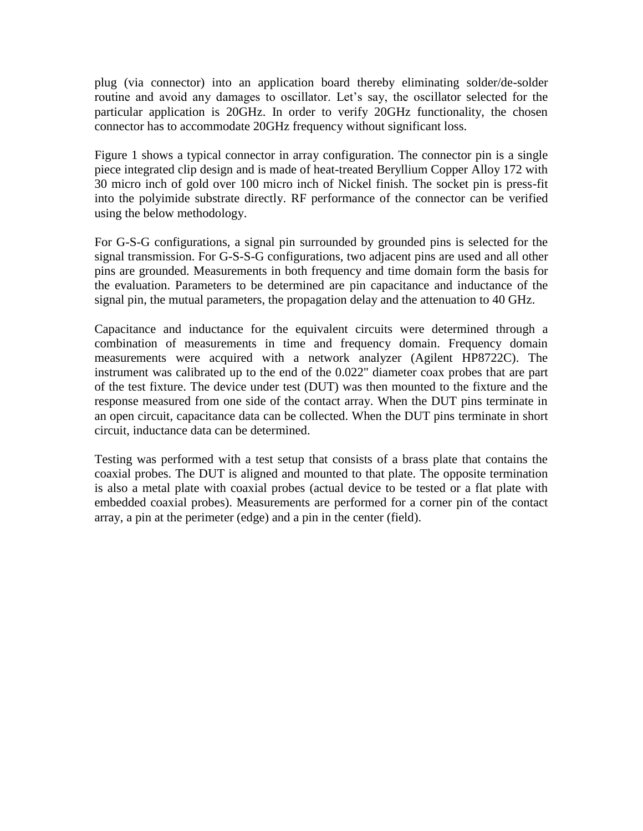plug (via connector) into an application board thereby eliminating solder/de-solder routine and avoid any damages to oscillator. Let's say, the oscillator selected for the particular application is 20GHz. In order to verify 20GHz functionality, the chosen connector has to accommodate 20GHz frequency without significant loss.

Figure 1 shows a typical connector in array configuration. The connector pin is a single piece integrated clip design and is made of heat-treated Beryllium Copper Alloy 172 with 30 micro inch of gold over 100 micro inch of Nickel finish. The socket pin is press-fit into the polyimide substrate directly. RF performance of the connector can be verified using the below methodology.

For G-S-G configurations, a signal pin surrounded by grounded pins is selected for the signal transmission. For G-S-S-G configurations, two adjacent pins are used and all other pins are grounded. Measurements in both frequency and time domain form the basis for the evaluation. Parameters to be determined are pin capacitance and inductance of the signal pin, the mutual parameters, the propagation delay and the attenuation to 40 GHz.

Capacitance and inductance for the equivalent circuits were determined through a combination of measurements in time and frequency domain. Frequency domain measurements were acquired with a network analyzer (Agilent HP8722C). The instrument was calibrated up to the end of the 0.022" diameter coax probes that are part of the test fixture. The device under test (DUT) was then mounted to the fixture and the response measured from one side of the contact array. When the DUT pins terminate in an open circuit, capacitance data can be collected. When the DUT pins terminate in short circuit, inductance data can be determined.

Testing was performed with a test setup that consists of a brass plate that contains the coaxial probes. The DUT is aligned and mounted to that plate. The opposite termination is also a metal plate with coaxial probes (actual device to be tested or a flat plate with embedded coaxial probes). Measurements are performed for a corner pin of the contact array, a pin at the perimeter (edge) and a pin in the center (field).